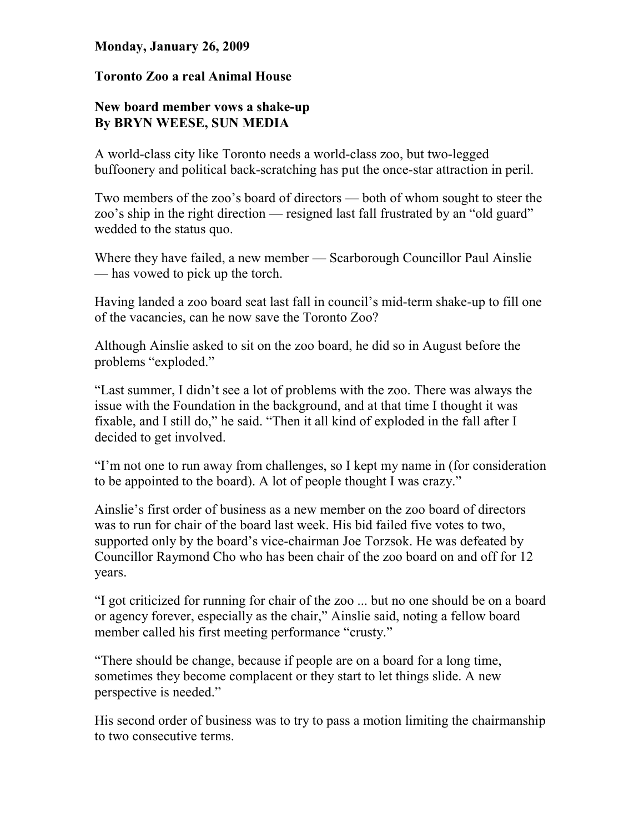## Monday, January 26, 2009

## Toronto Zoo a real Animal House

## New board member vows a shake-up By BRYN WEESE, SUN MEDIA

A world-class city like Toronto needs a world-class zoo, but two-legged buffoonery and political back-scratching has put the once-star attraction in peril.

Two members of the zoo's board of directors — both of whom sought to steer the zoo's ship in the right direction — resigned last fall frustrated by an "old guard" wedded to the status quo.

Where they have failed, a new member — Scarborough Councillor Paul Ainslie — has vowed to pick up the torch.

Having landed a zoo board seat last fall in council's mid-term shake-up to fill one of the vacancies, can he now save the Toronto Zoo?

Although Ainslie asked to sit on the zoo board, he did so in August before the problems "exploded."

"Last summer, I didn't see a lot of problems with the zoo. There was always the issue with the Foundation in the background, and at that time I thought it was fixable, and I still do," he said. "Then it all kind of exploded in the fall after I decided to get involved.

"I'm not one to run away from challenges, so I kept my name in (for consideration to be appointed to the board). A lot of people thought I was crazy."

Ainslie's first order of business as a new member on the zoo board of directors was to run for chair of the board last week. His bid failed five votes to two, supported only by the board's vice-chairman Joe Torzsok. He was defeated by Councillor Raymond Cho who has been chair of the zoo board on and off for 12 years.

"I got criticized for running for chair of the zoo ... but no one should be on a board or agency forever, especially as the chair," Ainslie said, noting a fellow board member called his first meeting performance "crusty."

"There should be change, because if people are on a board for a long time, sometimes they become complacent or they start to let things slide. A new perspective is needed."

His second order of business was to try to pass a motion limiting the chairmanship to two consecutive terms.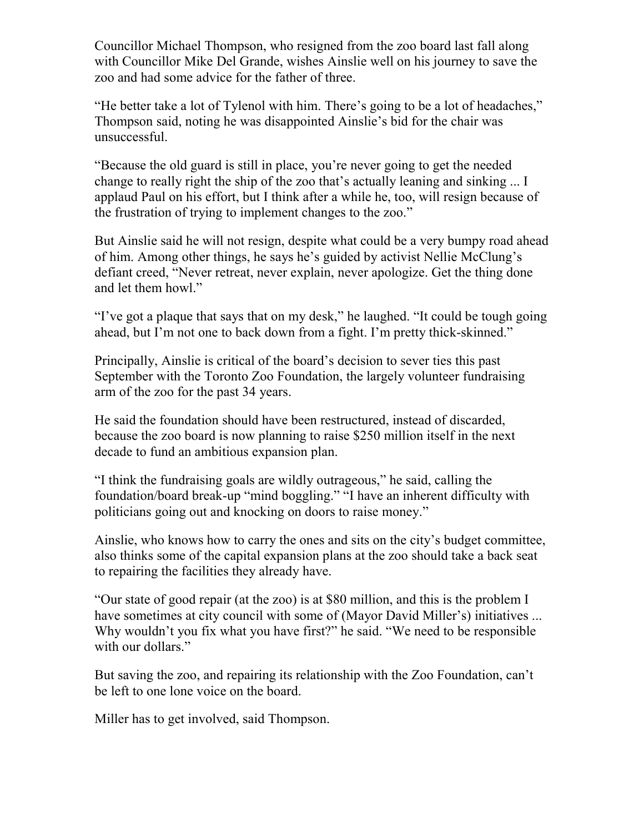Councillor Michael Thompson, who resigned from the zoo board last fall along with Councillor Mike Del Grande, wishes Ainslie well on his journey to save the zoo and had some advice for the father of three.

"He better take a lot of Tylenol with him. There's going to be a lot of headaches," Thompson said, noting he was disappointed Ainslie's bid for the chair was unsuccessful.

"Because the old guard is still in place, you're never going to get the needed change to really right the ship of the zoo that's actually leaning and sinking ... I applaud Paul on his effort, but I think after a while he, too, will resign because of the frustration of trying to implement changes to the zoo."

But Ainslie said he will not resign, despite what could be a very bumpy road ahead of him. Among other things, he says he's guided by activist Nellie McClung's defiant creed, "Never retreat, never explain, never apologize. Get the thing done and let them howl."

"I've got a plaque that says that on my desk," he laughed. "It could be tough going ahead, but I'm not one to back down from a fight. I'm pretty thick-skinned."

Principally, Ainslie is critical of the board's decision to sever ties this past September with the Toronto Zoo Foundation, the largely volunteer fundraising arm of the zoo for the past 34 years.

He said the foundation should have been restructured, instead of discarded, because the zoo board is now planning to raise \$250 million itself in the next decade to fund an ambitious expansion plan.

"I think the fundraising goals are wildly outrageous," he said, calling the foundation/board break-up "mind boggling." "I have an inherent difficulty with politicians going out and knocking on doors to raise money."

Ainslie, who knows how to carry the ones and sits on the city's budget committee, also thinks some of the capital expansion plans at the zoo should take a back seat to repairing the facilities they already have.

"Our state of good repair (at the zoo) is at \$80 million, and this is the problem I have sometimes at city council with some of (Mayor David Miller's) initiatives ... Why wouldn't you fix what you have first?" he said. "We need to be responsible with our dollars."

But saving the zoo, and repairing its relationship with the Zoo Foundation, can't be left to one lone voice on the board.

Miller has to get involved, said Thompson.